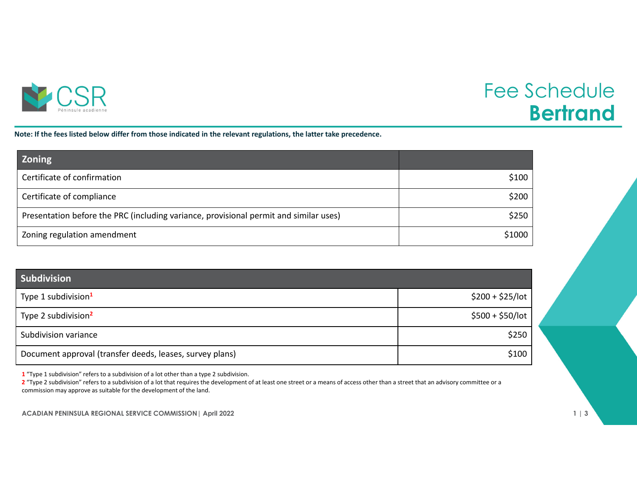

## Fee Schedule **Bertrand**

Note: If the fees listed below differ from those indicated in the relevant regulations, the latter take precedence.

| <b>Zoning</b>                                                                         |        |
|---------------------------------------------------------------------------------------|--------|
| Certificate of confirmation                                                           | \$100  |
| Certificate of compliance                                                             | \$200  |
| Presentation before the PRC (including variance, provisional permit and similar uses) | \$250  |
| Zoning regulation amendment                                                           | \$1000 |

| <b>Subdivision</b>                                       |                   |
|----------------------------------------------------------|-------------------|
| Type 1 subdivision <sup>1</sup>                          | $$200 + $25/$ lot |
| Type 2 subdivision <sup>2</sup>                          | $$500 + $50/$ lot |
| Subdivision variance                                     | \$250             |
| Document approval (transfer deeds, leases, survey plans) | \$100             |

**1** "Type 1 subdivision" refers to <sup>a</sup> subdivision of <sup>a</sup> lot other than <sup>a</sup> type 2 subdivision.

**2** "Type 2 subdivision" refers to <sup>a</sup> subdivision of <sup>a</sup> lot that requires the development of at least one street or <sup>a</sup> means of access other than <sup>a</sup> street that an advisory committee or <sup>a</sup> commission may approve as suitable for the development of the land.

**ACADIAN PENINSULA REGIONAL SERVICE COMMISSION| April 2022 1 | 3**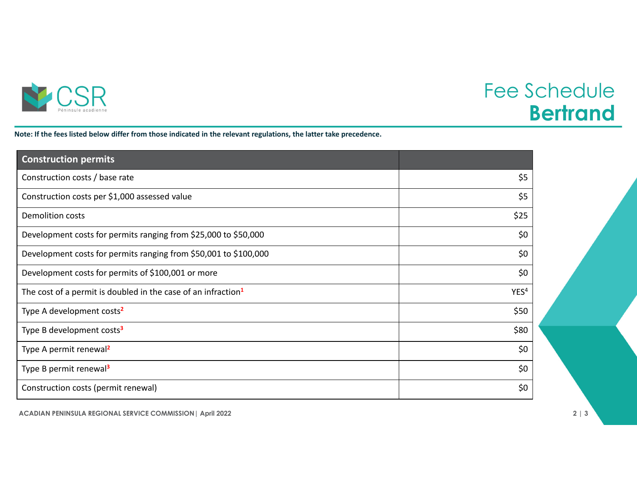

## Fee Schedule **Bertrand**

Note: If the fees listed below differ from those indicated in the relevant regulations, the latter take precedence.

| <b>Construction permits</b>                                               |                  |
|---------------------------------------------------------------------------|------------------|
| Construction costs / base rate                                            | \$5              |
| Construction costs per \$1,000 assessed value                             | \$5              |
| <b>Demolition costs</b>                                                   | \$25             |
| Development costs for permits ranging from \$25,000 to \$50,000           | \$0              |
| Development costs for permits ranging from \$50,001 to \$100,000          | \$0              |
| Development costs for permits of \$100,001 or more                        | \$0              |
| The cost of a permit is doubled in the case of an infraction <sup>1</sup> | YES <sup>4</sup> |
| Type A development costs <sup>2</sup>                                     | \$50             |
| Type B development costs <sup>3</sup>                                     | \$80             |
| Type A permit renewal <sup>2</sup>                                        | \$0              |
| Type B permit renewal <sup>3</sup>                                        | \$0              |
| Construction costs (permit renewal)                                       | \$0              |

**ACADIAN PENINSULA REGIONAL SERVICE COMMISSION| April 2022 2 | 3**